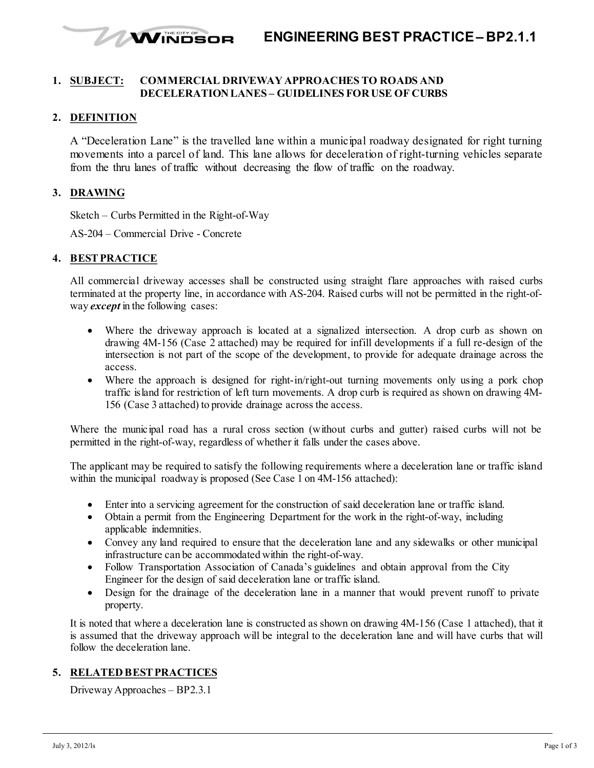## **WINDSOR ENGINEERING BEST PRACTICE– BP2.1.1**

#### **1. SUBJECT: COMMERCIAL DRIVEWAY APPROACHES TO ROADS AND DECELERATION LANES – GUIDELINES FOR USE OF CURBS**

### **2. DEFINITION**

A "Deceleration Lane" is the travelled lane within a municipal roadway designated for right turning movements into a parcel of land. This lane allows for deceleration of right-turning vehicles separate from the thru lanes of traffic without decreasing the flow of traffic on the roadway.

### **3. DRAWING**

Sketch – Curbs Permitted in the Right-of-Way

AS-204 – Commercial Drive - Concrete

#### **4. BESTPRACTICE**

All commercial driveway accesses shall be constructed using straight flare approaches with raised curbs terminated at the property line, in accordance with AS-204. Raised curbs will not be permitted in the right-ofway *except* in the following cases:

- Where the driveway approach is located at a signalized intersection. A drop curb as shown on drawing 4M-156 (Case 2 attached) may be required for infill developments if a full re-design of the intersection is not part of the scope of the development, to provide for adequate drainage across the access.
- Where the approach is designed for right-in/right-out turning movements only using a pork chop traffic island for restriction of left turn movements. A drop curb is required as shown on drawing 4M-156 (Case 3 attached) to provide drainage across the access.

Where the municipal road has a rural cross section (without curbs and gutter) raised curbs will not be permitted in the right-of-way, regardless of whether it falls under the cases above.

The applicant may be required to satisfy the following requirements where a deceleration lane or traffic island within the municipal roadway is proposed (See Case 1 on 4M-156 attached):

- Enter into a servicing agreement for the construction of said deceleration lane or traffic island.
- Obtain a permit from the Engineering Department for the work in the right-of-way, including applicable indemnities.
- Convey any land required to ensure that the deceleration lane and any sidewalks or other municipal infrastructure can be accommodated within the right-of-way.
- Follow Transportation Association of Canada's guidelines and obtain approval from the City Engineer for the design of said deceleration lane or traffic island.
- Design for the drainage of the deceleration lane in a manner that would prevent runoff to private property.

It is noted that where a deceleration lane is constructed as shown on drawing 4M-156 (Case 1 attached), that it is assumed that the driveway approach will be integral to the deceleration lane and will have curbs that will follow the deceleration lane.

# **5. RELATED BESTPRACTICES**

Driveway Approaches – BP2.3.1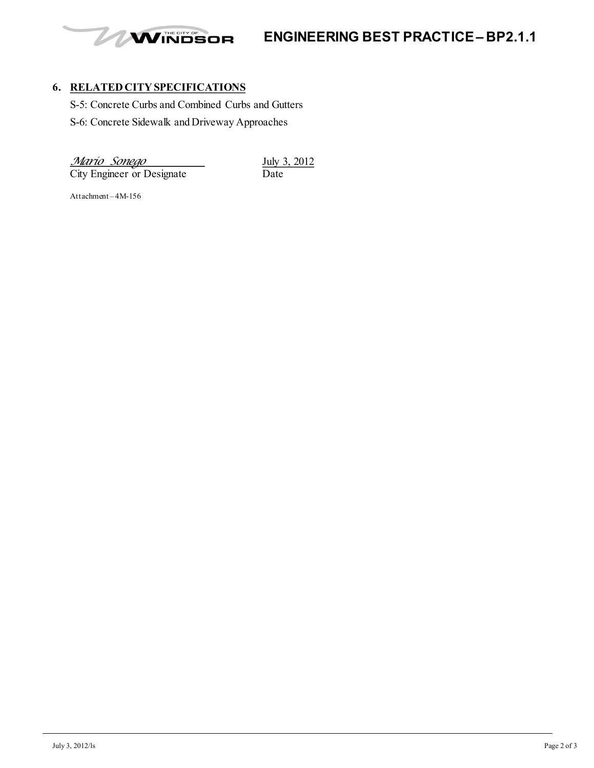

**ENGINEERING BEST PRACTICE– BP2.1.1**

# **6. RELATED CITY SPECIFICATIONS**

S-5: Concrete Curbs and Combined Curbs and Gutters

S-6: Concrete Sidewalk and Driveway Approaches

*Mario Sonego* July 3, 2012<br>City Engineer or Designate Date

City Engineer or Designate

Attachment – 4M-156